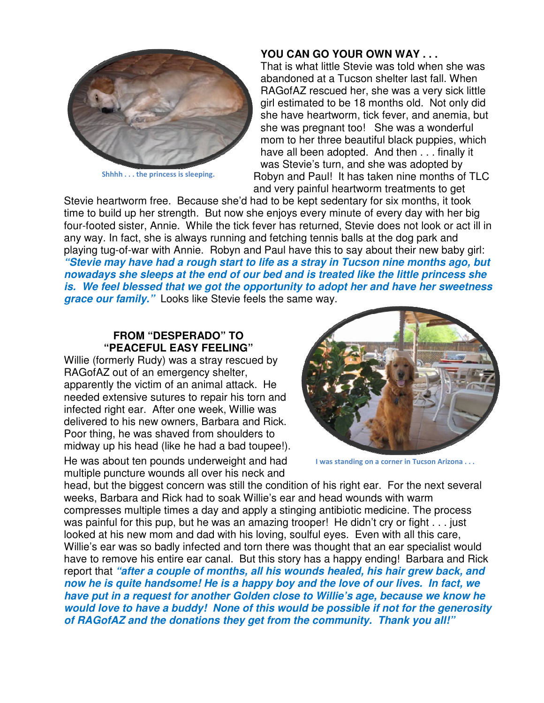

Shhhh . . . the princess is sleeping.

## **YOU CAN GO YOUR OWN WAY . . .**

That is what little Stevie was told when she was abandoned at a Tucson shelter last fall. When RAGofAZ rescued her, she was a very sick little girl estimated to be 18 months old. Not only did she have heartworm, tick fever, and anemia, but she was pregnant too! She was a wonderful mom to her three beautiful black puppies, which have all been adopted. And then . . . finally it was Stevie's turn, and she was adopted by Robyn and Paul! It has taken nine months of TLC and very painful heartworm treatments to get

Stevie heartworm free. Because she'd had to be kept sedentary for six months, it took time to build up her strength. But now she enjoys every minute of every day with her big four-footed sister, Annie. While the tick fever has returned, Stevie does not look or act ill in any way. In fact, she is always running and fetching tennis balls at the dog park and playing tug-of-war with Annie. Robyn and Paul have this to say about their new baby girl: **"Stevie may have had a rough start to life as a stray in Tucson nine months ago, but nowadays she sleeps at the end of our bed and is treated like the little princess she is. We feel blessed that we got the opportunity to adopt her and have her sweetness grace our family."** Looks like Stevie feels the same way.

## **FROM "DESPERADO" TO "PEACEFUL EASY FEELING"**

Willie (formerly Rudy) was a stray rescued by RAGofAZ out of an emergency shelter, apparently the victim of an animal attack. He needed extensive sutures to repair his torn and infected right ear. After one week, Willie was delivered to his new owners, Barbara and Rick. Poor thing, he was shaved from shoulders to midway up his head (like he had a bad toupee!). He was about ten pounds underweight and had

multiple puncture wounds all over his neck and



I was standing on a corner in Tucson Arizona . . .

head, but the biggest concern was still the condition of his right ear. For the next several weeks, Barbara and Rick had to soak Willie's ear and head wounds with warm compresses multiple times a day and apply a stinging antibiotic medicine. The process was painful for this pup, but he was an amazing trooper! He didn't cry or fight . . . just looked at his new mom and dad with his loving, soulful eyes. Even with all this care, Willie's ear was so badly infected and torn there was thought that an ear specialist would have to remove his entire ear canal. But this story has a happy ending! Barbara and Rick report that **"after a couple of months, all his wounds healed, his hair grew back, and now he is quite handsome! He is a happy boy and the love of our lives. In fact, we have put in a request for another Golden close to Willie's age, because we know he would love to have a buddy! None of this would be possible if not for the generosity of RAGofAZ and the donations they get from the community. Thank you all!"**